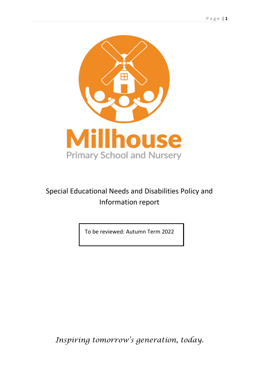

## Special Educational Needs and Disabilities Policy and Information report

To be reviewed: Autumn Term 2022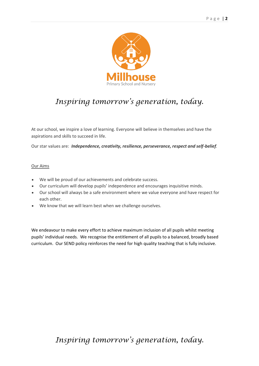

## *Inspiring tomorrow's generation, today.*

At our school, we inspire a love of learning. Everyone will believe in themselves and have the aspirations and skills to succeed in life.

Our star values are: *Independence, creativity, resilience, perseverance, respect and self-belief.*

#### Our Aims

- We will be proud of our achievements and celebrate success.
- Our curriculum will develop pupils' independence and encourages inquisitive minds.
- Our school will always be a safe environment where we value everyone and have respect for each other.
- We know that we will learn best when we challenge ourselves.

We endeavour to make every effort to achieve maximum inclusion of all pupils whilst meeting pupils' individual needs. We recognise the entitlement of all pupils to a balanced, broadly based curriculum. Our SEND policy reinforces the need for high quality teaching that is fully inclusive.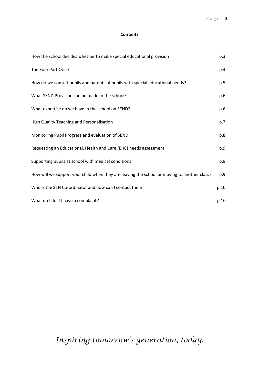#### **Contents**

| How the school decides whether to make special educational provision                        | p.3  |
|---------------------------------------------------------------------------------------------|------|
| The Four Part Cycle                                                                         | p.4  |
| How do we consult pupils and parents of pupils with special educational needs?              | p.5  |
| What SEND Provision can be made in the school?                                              | p.6  |
| What expertise do we have in the school on SEND?                                            | p.6  |
| High Quality Teaching and Personalisation                                                   | p.7  |
| Monitoring Pupil Progress and evaluation of SEND                                            | p.8  |
| Requesting an Educational, Health and Care (EHC) needs assessment                           | p.9  |
| Supporting pupils at school with medical conditions                                         | p.9  |
| How will we support your child when they are leaving the school or moving to another class? | p.9  |
| Who is the SEN Co-ordinator and how can I contact them?                                     | p.10 |
| What do I do if I have a complaint?                                                         | p.10 |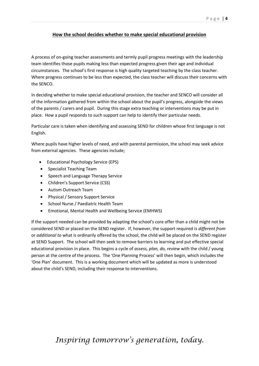## **How the school decides whether to make special educational provision**

A process of on-going teacher assessments and termly pupil progress meetings with the leadership team identifies those pupils making less than expected progress given their age and individual circumstances. The school's first response is high quality targeted teaching by the class teacher. Where progress continues to be less than expected, the class teacher will discuss their concerns with the SENCO.

In deciding whether to make special educational provision, the teacher and SENCO will consider all of the information gathered from within the school about the pupil's progress, alongside the views of the parents / carers and pupil. During this stage extra teaching or interventions may be put in place. How a pupil responds to such support can help to identify their particular needs.

Particular care is taken when identifying and assessing SEND for children whose first language is not English.

Where pupils have higher levels of need, and with parental permission, the school may seek advice from external agencies. These agencies include;

- Educational Psychology Service (EPS)
- Specialist Teaching Team
- Speech and Language Therapy Service
- Children's Support Service (CSS)
- Autism Outreach Team
- Physical / Sensory Support Service
- School Nurse / Paediatric Health Team
- Emotional, Mental Health and Wellbeing Service (EMHWS)

If the support needed can be provided by adapting the school's core offer than a child might not be considered SEND or placed on the SEND register. If, however, the support required is *different from*  or *additional to* what is ordinarily offered by the school, the child will be placed on the SEND register at SEND Support. The school will then seek to remove barriers to learning and put effective special educational provision in place. This begins a cycle of *assess, plan, do, review* with the child / young person at the centre of the process. The 'One Planning Process' will then begin, which includes the 'One Plan' document. This is a working document which will be updated as more is understood about the child's SEND, including their response to interventions.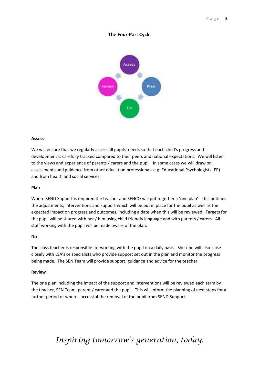## **The Four-Part Cycle**



#### **Assess**

We will ensure that we regularly assess all pupils' needs so that each child's progress and development is carefully tracked compared to their peers and national expectations. We will listen to the views and experience of parents / carers and the pupil. In some cases we will draw on assessments and guidance from other education professionals e.g. Educational Psychologists (EP) and from health and social services.

#### **Plan**

Where SEND Support is required the teacher and SENCO will put together a 'one plan'. This outlines the adjustments, interventions and support which will be put in place for the pupil as well as the expected impact on progress and outcomes, including a date when this will be reviewed. Targets for the pupil will be shared with her / him using child friendly language and with parents / carers. All staff working with the pupil will be made aware of the plan.

#### **Do**

The class teacher is responsible for working with the pupil on a daily basis. She / he will also liaise closely with LSA's or specialists who provide support set out in the plan and monitor the progress being made. The SEN Team will provide support, guidance and advice for the teacher.

#### **Review**

The one plan including the impact of the support and interventions will be reviewed each term by the teacher, SEN Team, parent / carer and the pupil. This will inform the planning of next steps for a further period or where successful the removal of the pupil from SEND Support.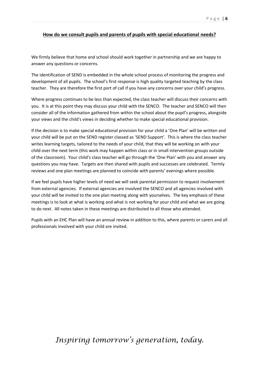#### **How do we consult pupils and parents of pupils with special educational needs?**

We firmly believe that home and school should work together in partnership and we are happy to answer any questions or concerns.

The identification of SEND is embedded in the whole school process of monitoring the progress and development of all pupils. The school's first response is high quality targeted teaching by the class teacher. They are therefore the first port of call if you have any concerns over your child's progress.

Where progress continues to be less than expected, the class teacher will discuss their concerns with you. It is at this point they may discuss your child with the SENCO. The teacher and SENCO will then consider all of the information gathered from within the school about the pupil's progress, alongside your views and the child's views in deciding whether to make special educational provision.

If the decision is to make special educational provision for your child a 'One Plan' will be written and your child will be put on the SEND register classed as 'SEND Support'. This is where the class teacher writes learning targets, tailored to the needs of your child, that they will be working on with your child over the next term (this work may happen within class or in small intervention groups outside of the classroom). Your child's class teacher will go through the 'One Plan' with you and answer any questions you may have. Targets are then shared with pupils and successes are celebrated. Termly reviews and one plan meetings are planned to coincide with parents' evenings where possible.

If we feel pupils have higher levels of need we will seek parental permission to request involvement from external agencies. If external agencies are involved the SENCO and all agencies involved with your child will be invited to the one plan meeting along with yourselves. The key emphasis of these meetings is to look at what is working and what is not working for your child and what we are going to do next. All notes taken in these meetings are distributed to all those who attended.

Pupils with an EHC Plan will have an annual review in addition to this, where parents or carers and all professionals involved with your child are invited.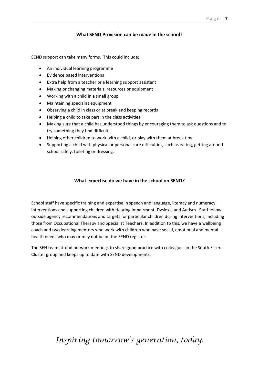## **What SEND Provision can be made in the school?**

SEND support can take many forms. This could include;

- An individual learning programme
- Evidence based interventions
- Extra help from a teacher or a learning support assistant
- Making or changing materials, resources or equipment
- Working with a child in a small group
- Maintaining specialist equipment
- Observing a child in class or at break and keeping records
- Helping a child to take part in the class activities
- Making sure that a child has understood things by encouraging them to ask questions and to try something they find difficult
- Helping other children to work with a child, or play with them at break time
- Supporting a child with physical or personal care difficulties, such as eating, getting around school safely, toileting or dressing.

## **What expertise do we have in the school on SEND?**

School staff have specific training and expertise in speech and language, literacy and numeracy interventions and supporting children with Hearing Impairment, Dyslexia and Autism. Staff follow outside agency recommendations and targets for particular children during interventions, including those from Occupational Therapy and Specialist Teachers. In addition to this, we have a wellbeing coach and two learning mentors who work with children who have social, emotional and mental health needs who may or may not be on the SEND register.

The SEN team attend network meetings to share good practice with colleagues in the South Essex Cluster group and keeps up to date with SEND developments.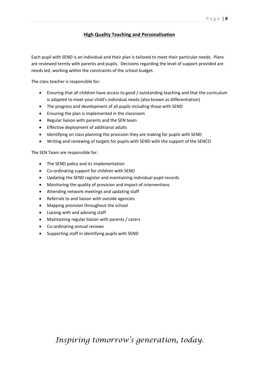### **High Quality Teaching and Personalisation**

Each pupil with SEND is an individual and their plan is tailored to meet their particular needs. Plans are reviewed termly with parents and pupils. Decisions regarding the level of support provided are needs led, working within the constraints of the school budget.

The class teacher is responsible for:

- Ensuring that all children have access to good / outstanding teaching and that the curriculum is adapted to meet your child's individual needs (also known as differentiation)
- The progress and development of all pupils including those with SEND
- Ensuring the plan is implemented in the classroom
- Regular liaison with parents and the SEN team
- Effective deployment of additional adults
- Identifying on class planning the provision they are making for pupils with SEND
- Writing and reviewing of targets for pupils with SEND with the support of the SENCO

The SEN Team are responsible for:

- The SEND policy and its implementation
- Co-ordinating support for children with SEND
- Updating the SEND register and maintaining individual pupil records
- Monitoring the quality of provision and impact of interventions
- Attending network meetings and updating staff
- Referrals to and liaison with outside agencies
- Mapping provision throughout the school
- Liaising with and advising staff
- Maintaining regular liaison with parents / carers
- Co-ordinating annual reviews
- Supporting staff in identifying pupils with SEND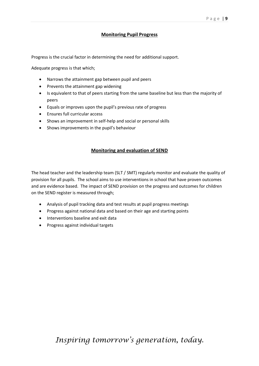## **Monitoring Pupil Progress**

Progress is the crucial factor in determining the need for additional support.

Adequate progress is that which;

- Narrows the attainment gap between pupil and peers
- Prevents the attainment gap widening
- Is equivalent to that of peers starting from the same baseline but less than the majority of peers
- Equals or improves upon the pupil's previous rate of progress
- Ensures full curricular access
- Shows an improvement in self-help and social or personal skills
- Shows improvements in the pupil's behaviour

#### **Monitoring and evaluation of SEND**

The head teacher and the leadership team (SLT / SMT) regularly monitor and evaluate the quality of provision for all pupils. The school aims to use interventions in school that have proven outcomes and are evidence based. The impact of SEND provision on the progress and outcomes for children on the SEND register is measured through;

- Analysis of pupil tracking data and test results at pupil progress meetings
- Progress against national data and based on their age and starting points
- Interventions baseline and exit data
- Progress against individual targets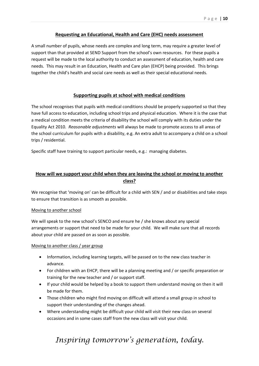### **Requesting an Educational, Health and Care (EHC) needs assessment**

A small number of pupils, whose needs are complex and long term, may require a greater level of support than that provided at SEND Support from the school's own resources. For these pupils a request will be made to the local authority to conduct an assessment of education, health and care needs. This may result in an Education, Health and Care plan (EHCP) being provided. This brings together the child's health and social care needs as well as their special educational needs.

### **Supporting pupils at school with medical conditions**

The school recognises that pupils with medical conditions should be properly supported so that they have full access to education, including school trips and physical education. Where it is the case that a medical condition meets the criteria of disability the school will comply with its duties under the Equality Act 2010. *Reasonable adjustments* will always be made to promote access to all areas of the school curriculum for pupils with a disability, e.g. An extra adult to accompany a child on a school trips / residential.

Specific staff have training to support particular needs, e.g.: managing diabetes.

## **How will we support your child when they are leaving the school or moving to another class?**

We recognise that 'moving on' can be difficult for a child with SEN / and or disabilities and take steps to ensure that transition is as smooth as possible.

#### Moving to another school

We will speak to the new school's SENCO and ensure he / she knows about any special arrangements or support that need to be made for your child. We will make sure that all records about your child are passed on as soon as possible.

#### Moving to another class / year group

- Information, including learning targets, will be passed on to the new class teacher in advance.
- For children with an EHCP, there will be a planning meeting and / or specific preparation or training for the new teacher and / or support staff.
- If your child would be helped by a book to support them understand moving on then it will be made for them.
- Those children who might find moving on difficult will attend a small group in school to support their understanding of the changes ahead.
- Where understanding might be difficult your child will visit their new class on several occasions and in some cases staff from the new class will visit your child.